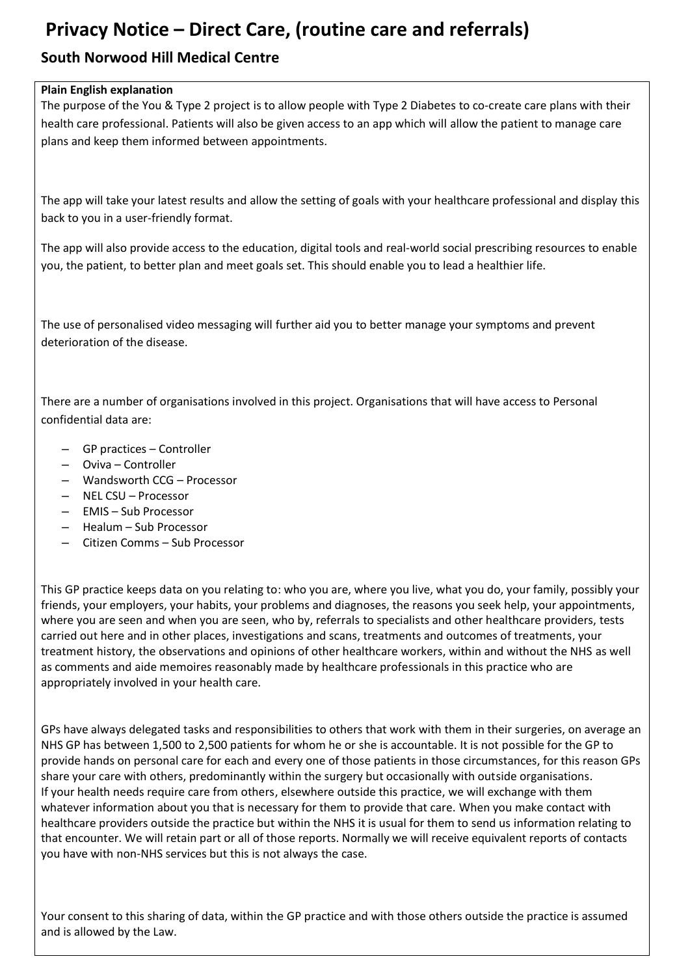# **Privacy Notice – Direct Care, (routine care and referrals)**

### **South Norwood Hill Medical Centre**

#### **Plain English explanation**

The purpose of the You & Type 2 project is to allow people with Type 2 Diabetes to co-create care plans with their health care professional. Patients will also be given access to an app which will allow the patient to manage care plans and keep them informed between appointments.

The app will take your latest results and allow the setting of goals with your healthcare professional and display this back to you in a user-friendly format.

The app will also provide access to the education, digital tools and real-world social prescribing resources to enable you, the patient, to better plan and meet goals set. This should enable you to lead a healthier life.

The use of personalised video messaging will further aid you to better manage your symptoms and prevent deterioration of the disease.

There are a number of organisations involved in this project. Organisations that will have access to Personal confidential data are:

- GP practices Controller
- Oviva Controller
- Wandsworth CCG Processor
- NEL CSU Processor
- EMIS Sub Processor
- Healum Sub Processor
- Citizen Comms Sub Processor

This GP practice keeps data on you relating to: who you are, where you live, what you do, your family, possibly your friends, your employers, your habits, your problems and diagnoses, the reasons you seek help, your appointments, where you are seen and when you are seen, who by, referrals to specialists and other healthcare providers, tests carried out here and in other places, investigations and scans, treatments and outcomes of treatments, your treatment history, the observations and opinions of other healthcare workers, within and without the NHS as well as comments and aide memoires reasonably made by healthcare professionals in this practice who are appropriately involved in your health care.

GPs have always delegated tasks and responsibilities to others that work with them in their surgeries, on average an NHS GP has between 1,500 to 2,500 patients for whom he or she is accountable. It is not possible for the GP to provide hands on personal care for each and every one of those patients in those circumstances, for this reason GPs share your care with others, predominantly within the surgery but occasionally with outside organisations. If your health needs require care from others, elsewhere outside this practice, we will exchange with them whatever information about you that is necessary for them to provide that care. When you make contact with healthcare providers outside the practice but within the NHS it is usual for them to send us information relating to that encounter. We will retain part or all of those reports. Normally we will receive equivalent reports of contacts you have with non-NHS services but this is not always the case.

Your consent to this sharing of data, within the GP practice and with those others outside the practice is assumed and is allowed by the Law.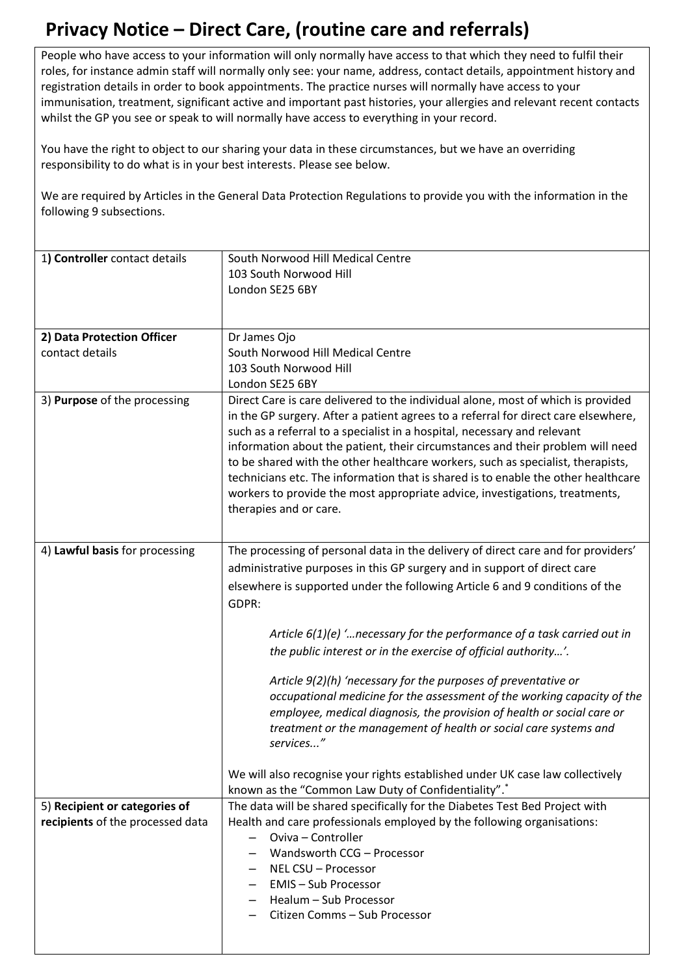# **Privacy Notice – Direct Care, (routine care and referrals)**

People who have access to your information will only normally have access to that which they need to fulfil their roles, for instance admin staff will normally only see: your name, address, contact details, appointment history and registration details in order to book appointments. The practice nurses will normally have access to your immunisation, treatment, significant active and important past histories, your allergies and relevant recent contacts whilst the GP you see or speak to will normally have access to everything in your record.

You have the right to object to our sharing your data in these circumstances, but we have an overriding responsibility to do what is in your best interests. Please see below.

We are required by Articles in the General Data Protection Regulations to provide you with the information in the following 9 subsections.

| 1) Controller contact details    | South Norwood Hill Medical Centre                                                                                                                                                                                                                                                                                                                                                                                                                                                                                                                                                                                                        |
|----------------------------------|------------------------------------------------------------------------------------------------------------------------------------------------------------------------------------------------------------------------------------------------------------------------------------------------------------------------------------------------------------------------------------------------------------------------------------------------------------------------------------------------------------------------------------------------------------------------------------------------------------------------------------------|
|                                  | 103 South Norwood Hill<br>London SE25 6BY                                                                                                                                                                                                                                                                                                                                                                                                                                                                                                                                                                                                |
|                                  |                                                                                                                                                                                                                                                                                                                                                                                                                                                                                                                                                                                                                                          |
|                                  |                                                                                                                                                                                                                                                                                                                                                                                                                                                                                                                                                                                                                                          |
| 2) Data Protection Officer       | Dr James Ojo                                                                                                                                                                                                                                                                                                                                                                                                                                                                                                                                                                                                                             |
| contact details                  | South Norwood Hill Medical Centre                                                                                                                                                                                                                                                                                                                                                                                                                                                                                                                                                                                                        |
|                                  | 103 South Norwood Hill                                                                                                                                                                                                                                                                                                                                                                                                                                                                                                                                                                                                                   |
| 3) Purpose of the processing     | London SE25 6BY<br>Direct Care is care delivered to the individual alone, most of which is provided<br>in the GP surgery. After a patient agrees to a referral for direct care elsewhere,<br>such as a referral to a specialist in a hospital, necessary and relevant<br>information about the patient, their circumstances and their problem will need<br>to be shared with the other healthcare workers, such as specialist, therapists,<br>technicians etc. The information that is shared is to enable the other healthcare<br>workers to provide the most appropriate advice, investigations, treatments,<br>therapies and or care. |
| 4) Lawful basis for processing   | The processing of personal data in the delivery of direct care and for providers'<br>administrative purposes in this GP surgery and in support of direct care<br>elsewhere is supported under the following Article 6 and 9 conditions of the<br>GDPR:                                                                                                                                                                                                                                                                                                                                                                                   |
|                                  | Article $6(1)(e)$ ' necessary for the performance of a task carried out in<br>the public interest or in the exercise of official authority'.                                                                                                                                                                                                                                                                                                                                                                                                                                                                                             |
|                                  | Article 9(2)(h) 'necessary for the purposes of preventative or<br>occupational medicine for the assessment of the working capacity of the<br>employee, medical diagnosis, the provision of health or social care or<br>treatment or the management of health or social care systems and<br>services"                                                                                                                                                                                                                                                                                                                                     |
|                                  | We will also recognise your rights established under UK case law collectively<br>known as the "Common Law Duty of Confidentiality".*                                                                                                                                                                                                                                                                                                                                                                                                                                                                                                     |
| 5) Recipient or categories of    | The data will be shared specifically for the Diabetes Test Bed Project with                                                                                                                                                                                                                                                                                                                                                                                                                                                                                                                                                              |
| recipients of the processed data | Health and care professionals employed by the following organisations:                                                                                                                                                                                                                                                                                                                                                                                                                                                                                                                                                                   |
|                                  | Oviva - Controller<br>Wandsworth CCG - Processor                                                                                                                                                                                                                                                                                                                                                                                                                                                                                                                                                                                         |
|                                  | NEL CSU - Processor                                                                                                                                                                                                                                                                                                                                                                                                                                                                                                                                                                                                                      |
|                                  | <b>EMIS-Sub Processor</b>                                                                                                                                                                                                                                                                                                                                                                                                                                                                                                                                                                                                                |
|                                  | Healum - Sub Processor                                                                                                                                                                                                                                                                                                                                                                                                                                                                                                                                                                                                                   |
|                                  | Citizen Comms - Sub Processor                                                                                                                                                                                                                                                                                                                                                                                                                                                                                                                                                                                                            |